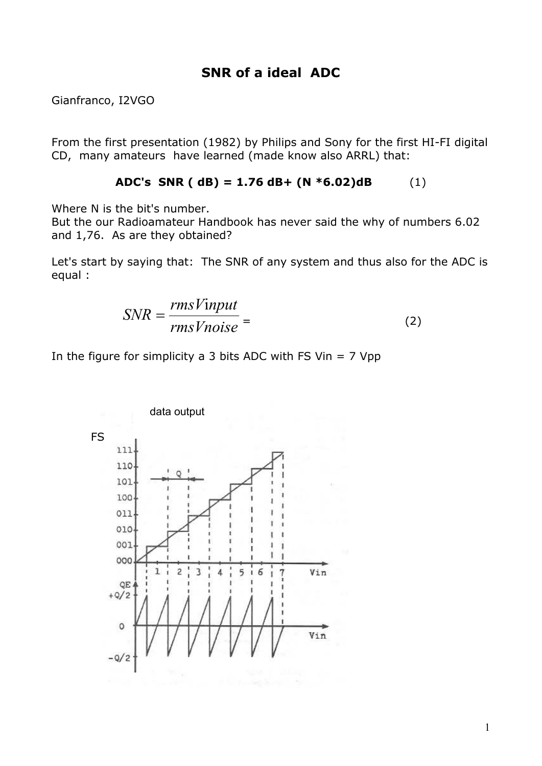## **SNR of a ideal ADC**

Gianfranco, I2VGO

From the first presentation (1982) by Philips and Sony for the first HI-FI digital CD, many amateurs have learned (made know also ARRL) that:

ADC's SNR ( dB) = 
$$
1.76
$$
 dB+ (N \*6.02)dB (1)

Where N is the bit's number.

But the our Radioamateur Handbook has never said the why of numbers 6.02 and 1,76. As are they obtained?

Let's start by saying that: The SNR of any system and thus also for the ADC is equal :

$$
SNR = \frac{rmsV input}{rmsV noise} = \tag{2}
$$

In the figure for simplicity a 3 bits ADC with FS Vin  $= 7$  Vpp

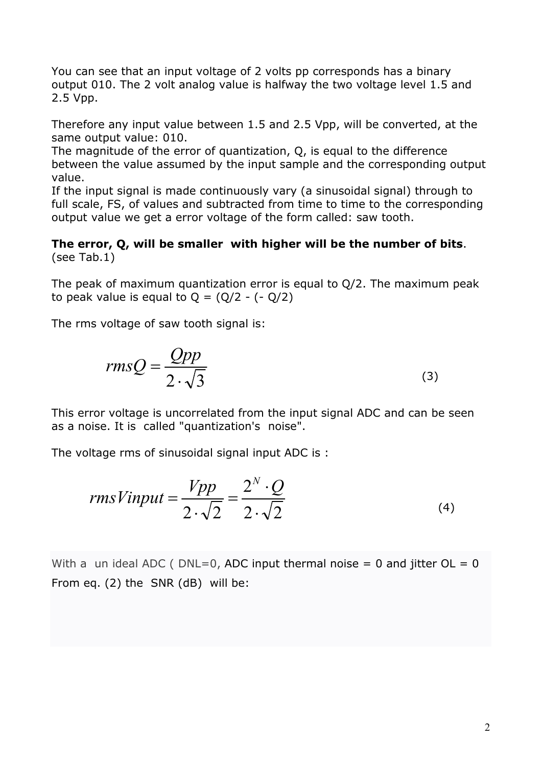You can see that an input voltage of 2 volts pp corresponds has a binary output 010. The 2 volt analog value is halfway the two voltage level 1.5 and 2.5 Vpp.

Therefore any input value between 1.5 and 2.5 Vpp, will be converted, at the same output value: 010.

The magnitude of the error of quantization, Q, is equal to the difference between the value assumed by the input sample and the corresponding output value.

If the input signal is made continuously vary (a sinusoidal signal) through to full scale, FS, of values and subtracted from time to time to the corresponding output value we get a error voltage of the form called: saw tooth.

## **The error, Q, will be smaller with higher will be the number of bits**. (see Tab.1)

The peak of maximum quantization error is equal to Q/2. The maximum peak to peak value is equal to  $Q = (Q/2 - (-Q/2))$ 

The rms voltage of saw tooth signal is:

$$
rmsQ = \frac{Qpp}{2 \cdot \sqrt{3}}
$$
 (3)

This error voltage is uncorrelated from the input signal ADC and can be seen as a noise. It is called "quantization's noise".

The voltage rms of sinusoidal signal input ADC is :

$$
rmsVinput = \frac{Vpp}{2 \cdot \sqrt{2}} = \frac{2^N \cdot Q}{2 \cdot \sqrt{2}}
$$
\n(4)

With a un ideal ADC (  $DNL=0$ , ADC input thermal noise = 0 and jitter  $OL = 0$ From eq. (2) the SNR (dB) will be: